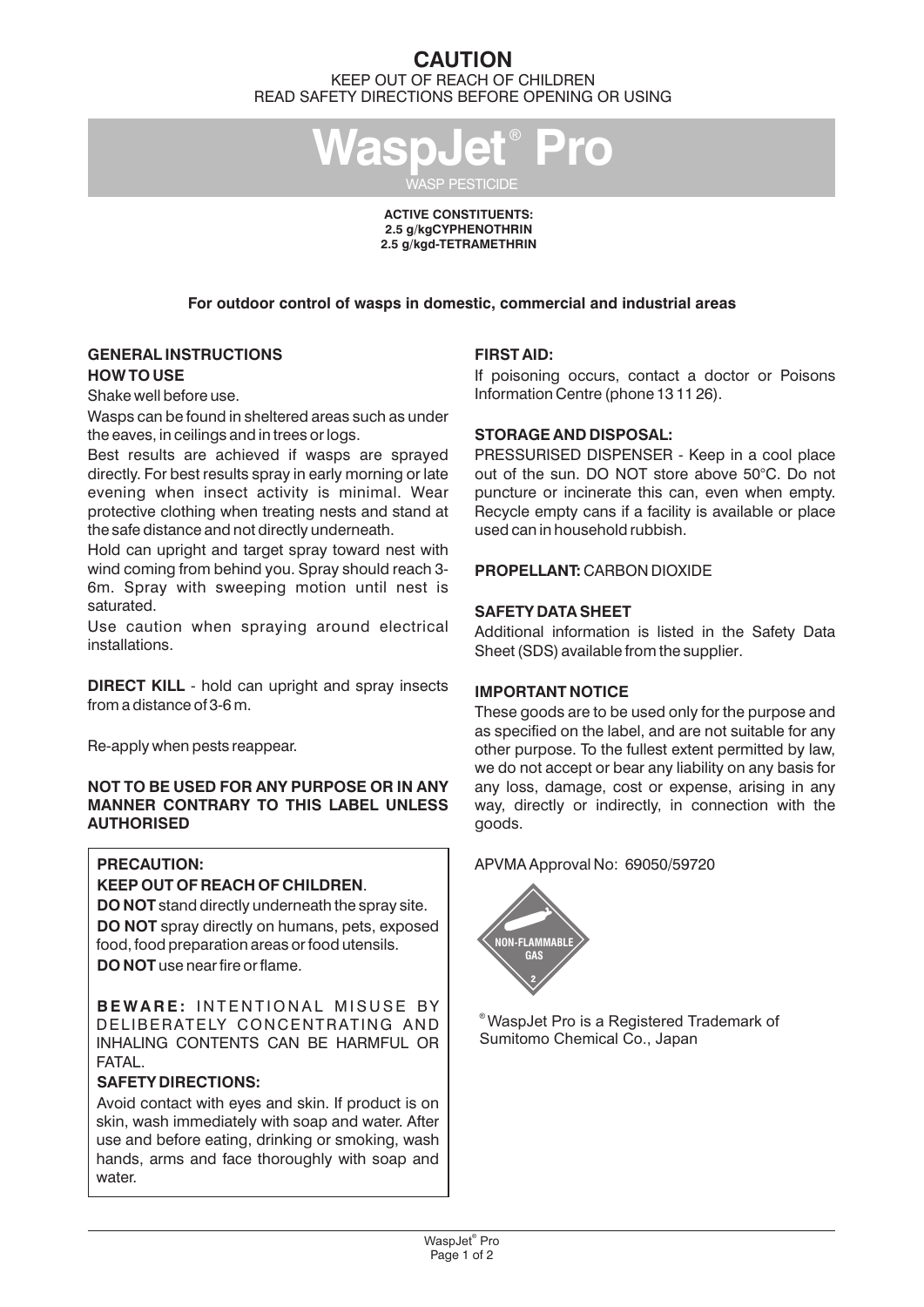## **CAUTION** KEEP OUT OF REACH OF CHILDREN READ SAFETY DIRECTIONS BEFORE OPENING OR USING

WaspJet<sup>®</sup> Pro WASP PESTICIDE

> **ACTIVE CONSTITUENTS: 2.5 g/kg CYPHENOTHRIN** 2.5 g/kgd-TETRAMETHRIN

**For outdoor control of wasps in domestic, commercial and industrial areas**

## **GENERAL INSTRUCTIONS HOW TO USE**

Shake well before use.

Wasps can be found in sheltered areas such as under the eaves, in ceilings and in trees or logs.

Best results are achieved if wasps are sprayed directly. For best results spray in early morning or late evening when insect activity is minimal. Wear protective clothing when treating nests and stand at the safe distance and not directly underneath.

Hold can upright and target spray toward nest with wind coming from behind you. Spray should reach 3- 6m. Spray with sweeping motion until nest is saturated.

Use caution when spraying around electrical installations.

**DIRECT KILL** - hold can upright and spray insects from a distance of 3-6 m.

Re-apply when pests reappear.

## **NOT TO BE USED FOR ANY PURPOSE OR IN ANY MANNER CONTRARY TO THIS LABEL UNLESS AUTHORISED**

## **PRECAUTION:**

## **KEEP OUT OF REACH OF CHILDREN**.

**DO NOT** stand directly underneath the spray site. **DO NOT** spray directly on humans, pets, exposed food, food preparation areas or food utensils. **DO NOT** use near fire or flame.

**B E WA R E :** I N T E N T I O N A L M I S U S E BY DELIBERATELY CONCENTRATING AND INHALING CONTENTS CAN BE HARMFUL OR **FATAL** 

## **SAFETY DIRECTIONS:**

Avoid contact with eyes and skin. If product is on skin, wash immediately with soap and water. After use and before eating, drinking or smoking, wash hands, arms and face thoroughly with soap and water.

## **FIRST AID:**

If poisoning occurs, contact a doctor or Poisons Information Centre (phone 13 11 26).

## **STORAGE AND DISPOSAL:**

PRESSURISED DISPENSER - Keep in a cool place out of the sun. DO NOT store above 50°C. Do not puncture or incinerate this can, even when empty. Recycle empty cans if a facility is available or place used can in household rubbish.

## **PROPELLANT:** CARBON DIOXIDE

## **SAFETY DATA SHEET**

Additional information is listed in the Safety Data Sheet (SDS) available from the supplier.

## **IMPORTANT NOTICE**

These goods are to be used only for the purpose and as specified on the label, and are not suitable for any other purpose. To the fullest extent permitted by law, we do not accept or bear any liability on any basis for any loss, damage, cost or expense, arising in any way, directly or indirectly, in connection with the goods.

APVMA Approval No: 69050/59720



® WaspJet Pro is a Registered Trademark of Sumitomo Chemical Co., Japan